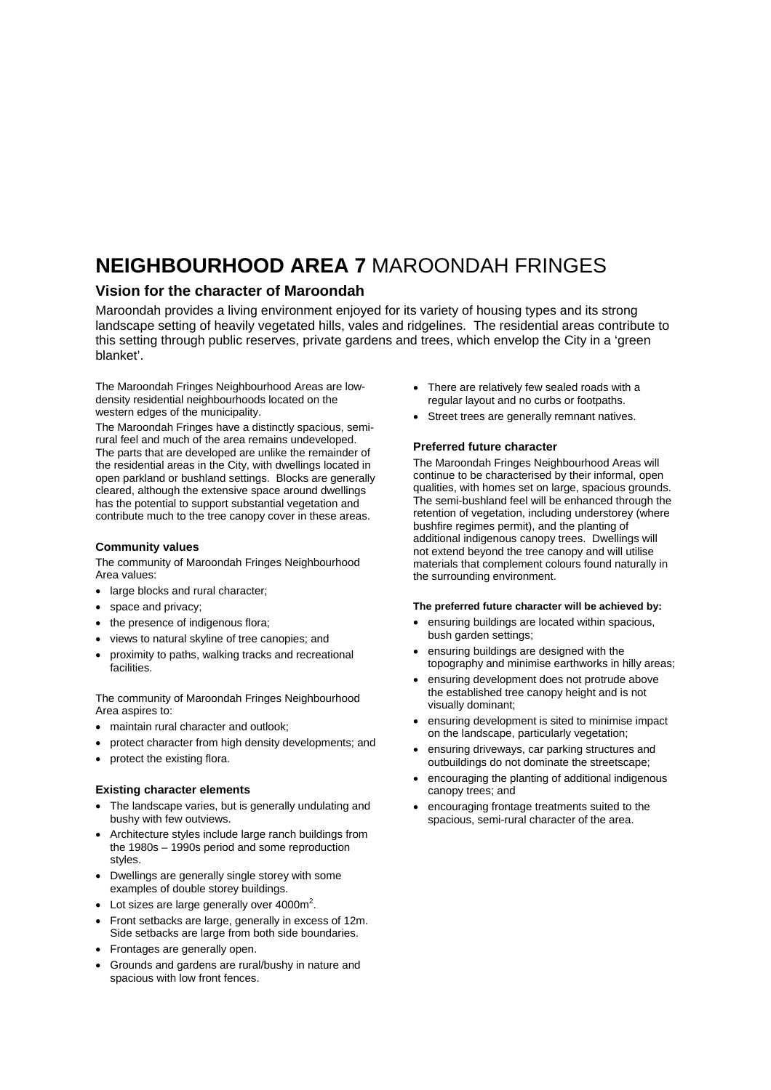# **NEIGHBOURHOOD AREA 7** MAROONDAH FRINGES

### **Vision for the character of Maroondah**

Maroondah provides a living environment enjoyed for its variety of housing types and its strong landscape setting of heavily vegetated hills, vales and ridgelines. The residential areas contribute to this setting through public reserves, private gardens and trees, which envelop the City in a 'green blanket'.

The Maroondah Fringes Neighbourhood Areas are lowdensity residential neighbourhoods located on the western edges of the municipality.

The Maroondah Fringes have a distinctly spacious, semirural feel and much of the area remains undeveloped. The parts that are developed are unlike the remainder of the residential areas in the City, with dwellings located in open parkland or bushland settings. Blocks are generally cleared, although the extensive space around dwellings has the potential to support substantial vegetation and contribute much to the tree canopy cover in these areas.

#### **Community values**

The community of Maroondah Fringes Neighbourhood Area values:

- large blocks and rural character;
- space and privacy;
- the presence of indigenous flora;
- views to natural skyline of tree canopies; and
- proximity to paths, walking tracks and recreational facilities.

The community of Maroondah Fringes Neighbourhood Area aspires to:

- maintain rural character and outlook;
- protect character from high density developments; and
- protect the existing flora.

#### **Existing character elements**

- The landscape varies, but is generally undulating and bushy with few outviews.
- Architecture styles include large ranch buildings from the 1980s – 1990s period and some reproduction styles.
- Dwellings are generally single storey with some examples of double storey buildings.
- $\bullet$  Lot sizes are large generally over 4000 $\text{m}^2$ .
- Front setbacks are large, generally in excess of 12m. Side setbacks are large from both side boundaries.
- Frontages are generally open.
- Grounds and gardens are rural/bushy in nature and spacious with low front fences.
- There are relatively few sealed roads with a regular layout and no curbs or footpaths.
- Street trees are generally remnant natives.

#### **Preferred future character**

The Maroondah Fringes Neighbourhood Areas will continue to be characterised by their informal, open qualities, with homes set on large, spacious grounds. The semi-bushland feel will be enhanced through the retention of vegetation, including understorey (where bushfire regimes permit), and the planting of additional indigenous canopy trees. Dwellings will not extend beyond the tree canopy and will utilise materials that complement colours found naturally in the surrounding environment.

#### **The preferred future character will be achieved by:**

- ensuring buildings are located within spacious, bush garden settings;
- ensuring buildings are designed with the topography and minimise earthworks in hilly areas;
- ensuring development does not protrude above the established tree canopy height and is not visually dominant;
- ensuring development is sited to minimise impact on the landscape, particularly vegetation;
- ensuring driveways, car parking structures and outbuildings do not dominate the streetscape;
- encouraging the planting of additional indigenous canopy trees; and
- encouraging frontage treatments suited to the spacious, semi-rural character of the area.